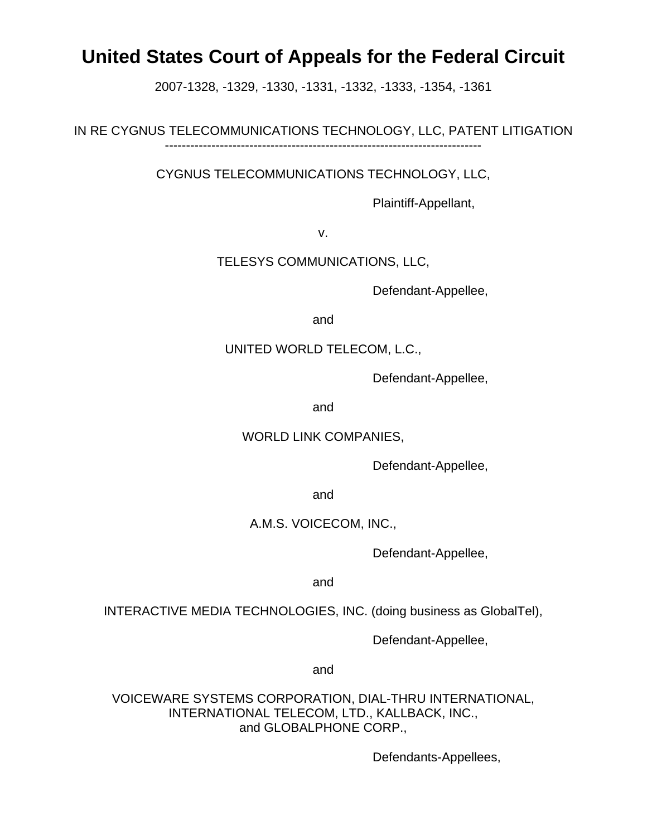# **United States Court of Appeals for the Federal Circuit**

2007-1328, -1329, -1330, -1331, -1332, -1333, -1354, -1361

IN RE CYGNUS TELECOMMUNICATIONS TECHNOLOGY, LLC, PATENT LITIGATION ---------------------------------------------------------------------------

CYGNUS TELECOMMUNICATIONS TECHNOLOGY, LLC,

Plaintiff-Appellant,

v.

TELESYS COMMUNICATIONS, LLC,

Defendant-Appellee,

and

### UNITED WORLD TELECOM, L.C.,

Defendant-Appellee,

and

## WORLD LINK COMPANIES,

Defendant-Appellee,

and

## A.M.S. VOICECOM, INC.,

Defendant-Appellee,

and

INTERACTIVE MEDIA TECHNOLOGIES, INC. (doing business as GlobalTel),

Defendant-Appellee,

and

VOICEWARE SYSTEMS CORPORATION, DIAL-THRU INTERNATIONAL, INTERNATIONAL TELECOM, LTD., KALLBACK, INC., and GLOBALPHONE CORP.,

Defendants-Appellees,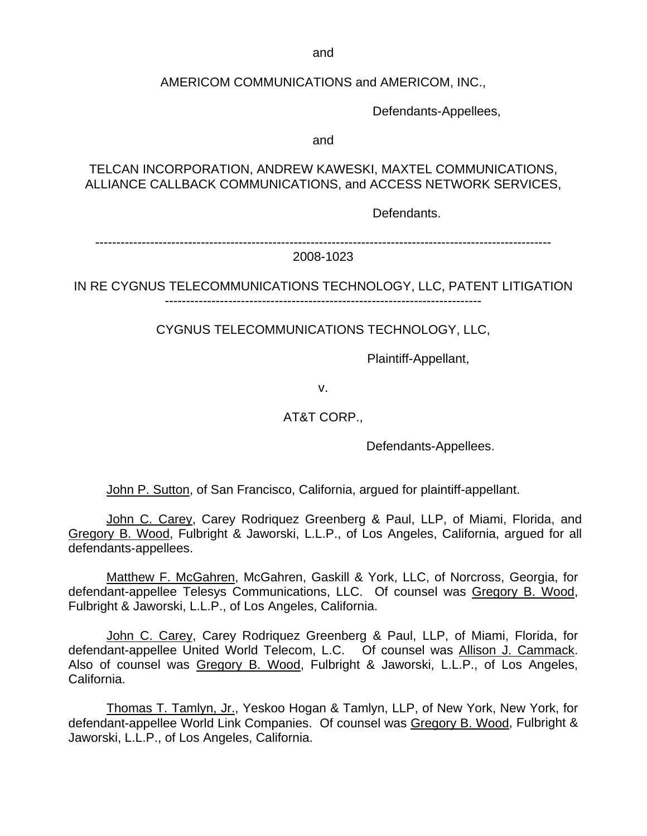and

AMERICOM COMMUNICATIONS and AMERICOM, INC.,

Defendants-Appellees,

and

TELCAN INCORPORATION, ANDREW KAWESKI, MAXTEL COMMUNICATIONS, ALLIANCE CALLBACK COMMUNICATIONS, and ACCESS NETWORK SERVICES,

Defendants.

------------------------------------------------------------------------------------------------------------

2008-1023

IN RE CYGNUS TELECOMMUNICATIONS TECHNOLOGY, LLC, PATENT LITIGATION

CYGNUS TELECOMMUNICATIONS TECHNOLOGY, LLC,

Plaintiff-Appellant,

v.

AT&T CORP.,

Defendants-Appellees.

John P. Sutton, of San Francisco, California, argued for plaintiff-appellant.

John C. Carey, Carey Rodriquez Greenberg & Paul, LLP, of Miami, Florida, and Gregory B. Wood, Fulbright & Jaworski, L.L.P., of Los Angeles, California, argued for all defendants-appellees.

Matthew F. McGahren, McGahren, Gaskill & York, LLC, of Norcross, Georgia, for defendant-appellee Telesys Communications, LLC. Of counsel was Gregory B. Wood, Fulbright & Jaworski, L.L.P., of Los Angeles, California.

 John C. Carey, Carey Rodriquez Greenberg & Paul, LLP, of Miami, Florida, for defendant-appellee United World Telecom, L.C. Of counsel was Allison J. Cammack. Also of counsel was Gregory B. Wood, Fulbright & Jaworski, L.L.P., of Los Angeles, California.

Thomas T. Tamlyn, Jr., Yeskoo Hogan & Tamlyn, LLP, of New York, New York, for defendant-appellee World Link Companies. Of counsel was Gregory B. Wood, Fulbright & Jaworski, L.L.P., of Los Angeles, California.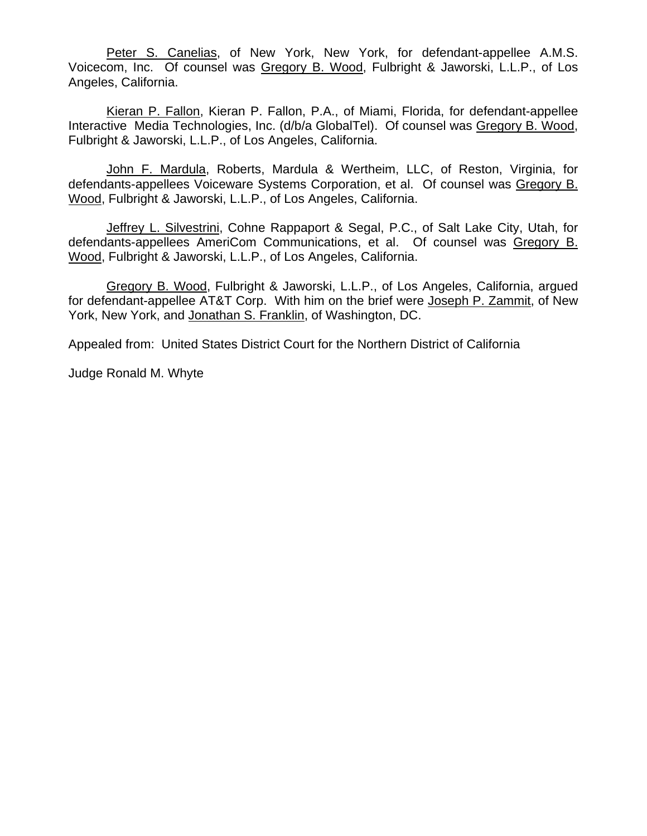Peter S. Canelias, of New York, New York, for defendant-appellee A.M.S. Voicecom, Inc. Of counsel was Gregory B. Wood, Fulbright & Jaworski, L.L.P., of Los Angeles, California.

Kieran P. Fallon, Kieran P. Fallon, P.A., of Miami, Florida, for defendant-appellee Interactive Media Technologies, Inc. (d/b/a GlobalTel). Of counsel was Gregory B. Wood, Fulbright & Jaworski, L.L.P., of Los Angeles, California.

John F. Mardula, Roberts, Mardula & Wertheim, LLC, of Reston, Virginia, for defendants-appellees Voiceware Systems Corporation, et al. Of counsel was Gregory B. Wood, Fulbright & Jaworski, L.L.P., of Los Angeles, California.

Jeffrey L. Silvestrini, Cohne Rappaport & Segal, P.C., of Salt Lake City, Utah, for defendants-appellees AmeriCom Communications, et al. Of counsel was Gregory B. Wood, Fulbright & Jaworski, L.L.P., of Los Angeles, California.

Gregory B. Wood, Fulbright & Jaworski, L.L.P., of Los Angeles, California, argued for defendant-appellee AT&T Corp. With him on the brief were Joseph P. Zammit, of New York, New York, and Jonathan S. Franklin, of Washington, DC.

Appealed from: United States District Court for the Northern District of California

Judge Ronald M. Whyte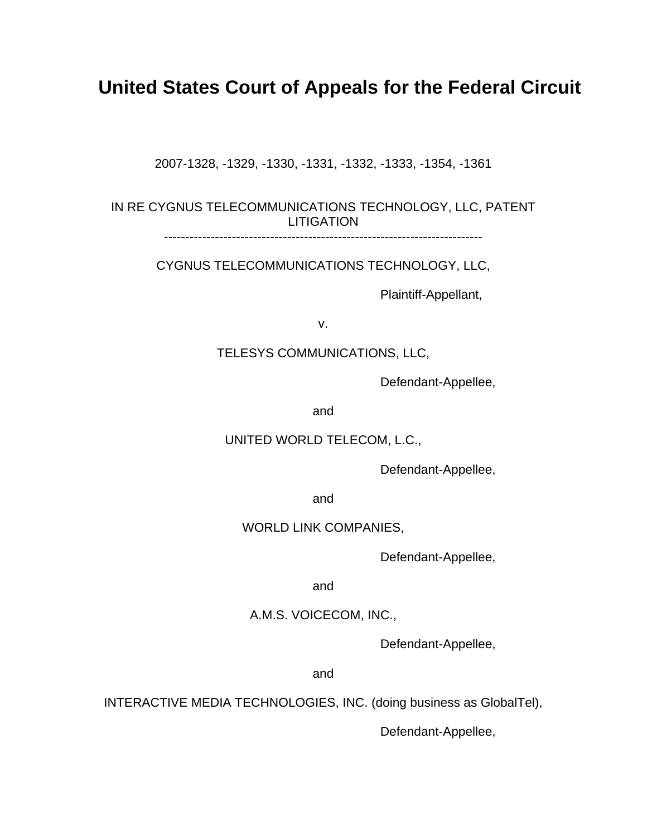# **United States Court of Appeals for the Federal Circuit**

2007-1328, -1329, -1330, -1331, -1332, -1333, -1354, -1361

IN RE CYGNUS TELECOMMUNICATIONS TECHNOLOGY, LLC, PATENT LITIGATION

---------------------------------------------------------------------------

CYGNUS TELECOMMUNICATIONS TECHNOLOGY, LLC,

Plaintiff-Appellant,

v.

TELESYS COMMUNICATIONS, LLC,

Defendant-Appellee,

and

UNITED WORLD TELECOM, L.C.,

Defendant-Appellee,

and

#### WORLD LINK COMPANIES,

Defendant-Appellee,

and

#### A.M.S. VOICECOM, INC.,

Defendant-Appellee,

and

INTERACTIVE MEDIA TECHNOLOGIES, INC. (doing business as GlobalTel),

Defendant-Appellee,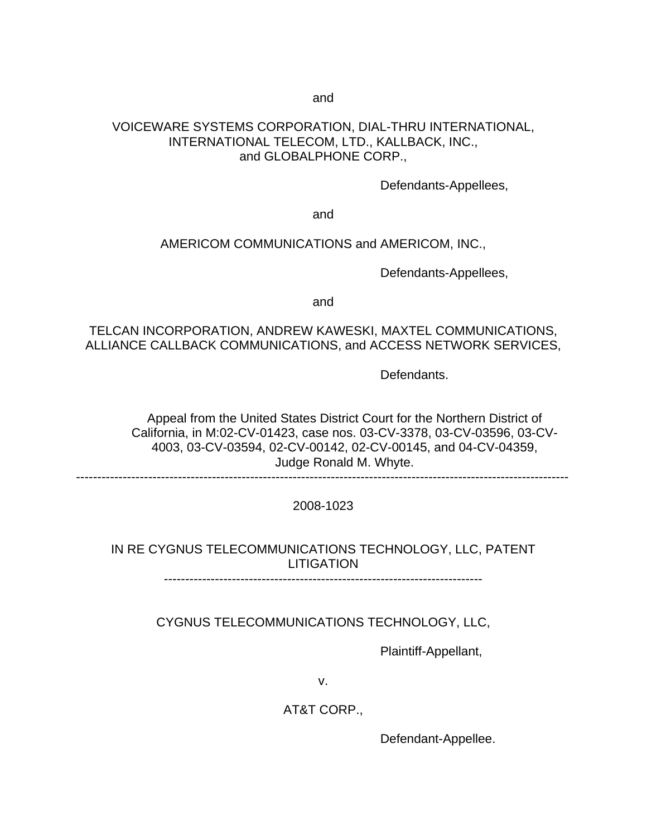and

#### VOICEWARE SYSTEMS CORPORATION, DIAL-THRU INTERNATIONAL, INTERNATIONAL TELECOM, LTD., KALLBACK, INC., and GLOBALPHONE CORP.,

Defendants-Appellees,

and

#### AMERICOM COMMUNICATIONS and AMERICOM, INC.,

Defendants-Appellees,

and

### TELCAN INCORPORATION, ANDREW KAWESKI, MAXTEL COMMUNICATIONS, ALLIANCE CALLBACK COMMUNICATIONS, and ACCESS NETWORK SERVICES,

Defendants.

Appeal from the United States District Court for the Northern District of California, in M:02-CV-01423, case nos. 03-CV-3378, 03-CV-03596, 03-CV-4003, 03-CV-03594, 02-CV-00142, 02-CV-00145, and 04-CV-04359, Judge Ronald M. Whyte.

--------------------------------------------------------------------------------------------------------------------

2008-1023

## IN RE CYGNUS TELECOMMUNICATIONS TECHNOLOGY, LLC, PATENT LITIGATION

---------------------------------------------------------------------------

CYGNUS TELECOMMUNICATIONS TECHNOLOGY, LLC,

Plaintiff-Appellant,

v.

AT&T CORP.,

Defendant-Appellee.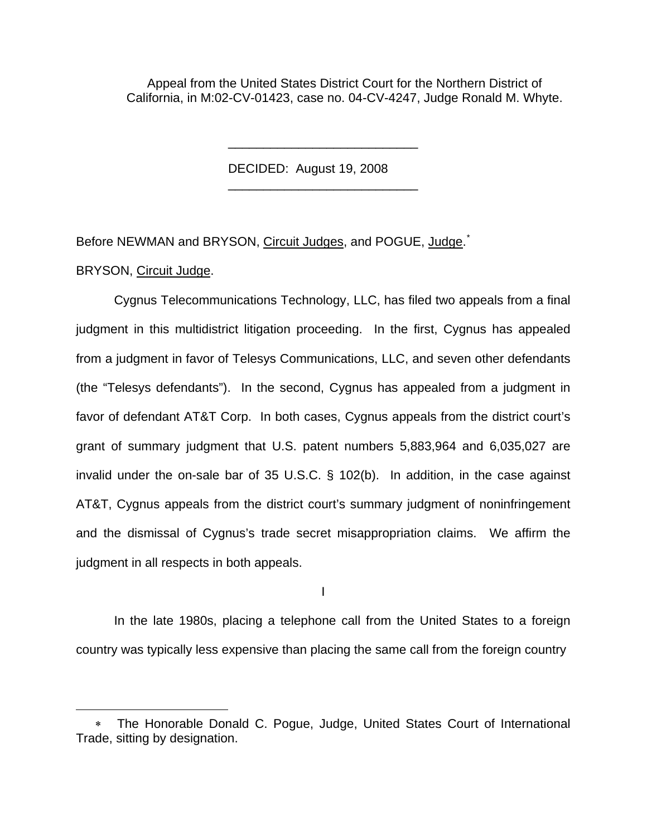Appeal from the United States District Court for the Northern District of California, in M:02-CV-01423, case no. 04-CV-4247, Judge Ronald M. Whyte.

DECIDED: August 19, 2008

\_\_\_\_\_\_\_\_\_\_\_\_\_\_\_\_\_\_\_\_\_\_\_\_\_\_\_

\_\_\_\_\_\_\_\_\_\_\_\_\_\_\_\_\_\_\_\_\_\_\_\_\_\_\_

Before NEWMAN and BRYSON, Circuit Judges, and POGUE, Judge.<sup>[\\*](#page-5-0)</sup>

BRYSON, Circuit Judge.

1

Cygnus Telecommunications Technology, LLC, has filed two appeals from a final judgment in this multidistrict litigation proceeding. In the first, Cygnus has appealed from a judgment in favor of Telesys Communications, LLC, and seven other defendants (the "Telesys defendants"). In the second, Cygnus has appealed from a judgment in favor of defendant AT&T Corp. In both cases, Cygnus appeals from the district court's grant of summary judgment that U.S. patent numbers 5,883,964 and 6,035,027 are invalid under the on-sale bar of 35 U.S.C. § 102(b). In addition, in the case against AT&T, Cygnus appeals from the district court's summary judgment of noninfringement and the dismissal of Cygnus's trade secret misappropriation claims. We affirm the judgment in all respects in both appeals.

I

In the late 1980s, placing a telephone call from the United States to a foreign country was typically less expensive than placing the same call from the foreign country

<span id="page-5-0"></span>The Honorable Donald C. Pogue, Judge, United States Court of International Trade, sitting by designation.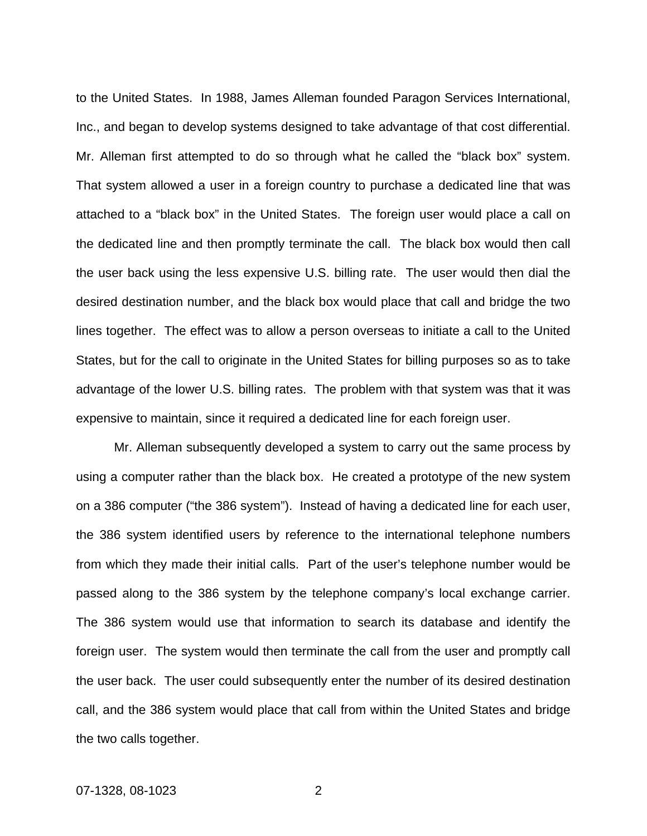to the United States. In 1988, James Alleman founded Paragon Services International, Inc., and began to develop systems designed to take advantage of that cost differential. Mr. Alleman first attempted to do so through what he called the "black box" system. That system allowed a user in a foreign country to purchase a dedicated line that was attached to a "black box" in the United States. The foreign user would place a call on the dedicated line and then promptly terminate the call. The black box would then call the user back using the less expensive U.S. billing rate. The user would then dial the desired destination number, and the black box would place that call and bridge the two lines together. The effect was to allow a person overseas to initiate a call to the United States, but for the call to originate in the United States for billing purposes so as to take advantage of the lower U.S. billing rates. The problem with that system was that it was expensive to maintain, since it required a dedicated line for each foreign user.

Mr. Alleman subsequently developed a system to carry out the same process by using a computer rather than the black box. He created a prototype of the new system on a 386 computer ("the 386 system"). Instead of having a dedicated line for each user, the 386 system identified users by reference to the international telephone numbers from which they made their initial calls. Part of the user's telephone number would be passed along to the 386 system by the telephone company's local exchange carrier. The 386 system would use that information to search its database and identify the foreign user. The system would then terminate the call from the user and promptly call the user back. The user could subsequently enter the number of its desired destination call, and the 386 system would place that call from within the United States and bridge the two calls together.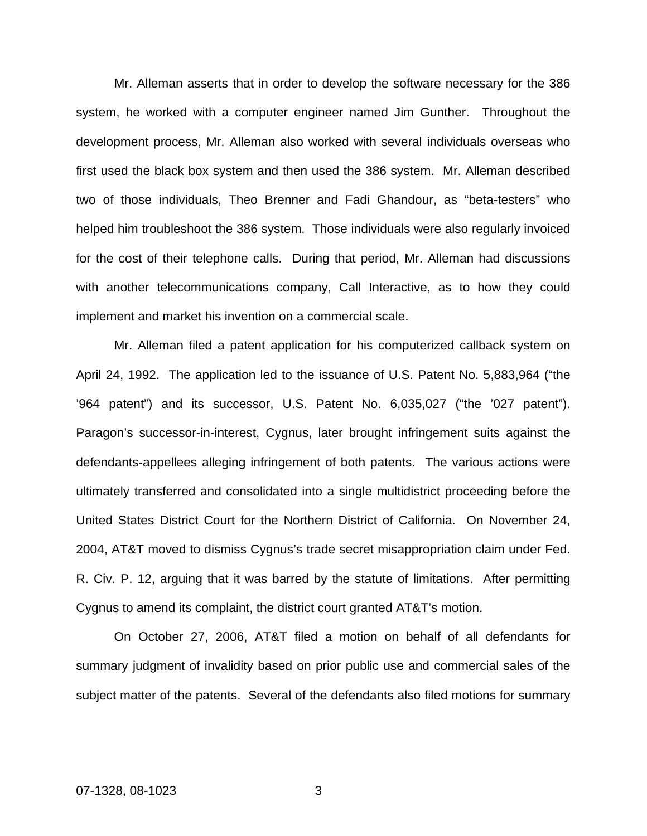Mr. Alleman asserts that in order to develop the software necessary for the 386 system, he worked with a computer engineer named Jim Gunther. Throughout the development process, Mr. Alleman also worked with several individuals overseas who first used the black box system and then used the 386 system. Mr. Alleman described two of those individuals, Theo Brenner and Fadi Ghandour, as "beta-testers" who helped him troubleshoot the 386 system. Those individuals were also regularly invoiced for the cost of their telephone calls. During that period, Mr. Alleman had discussions with another telecommunications company, Call Interactive, as to how they could implement and market his invention on a commercial scale.

Mr. Alleman filed a patent application for his computerized callback system on April 24, 1992. The application led to the issuance of U.S. Patent No. 5,883,964 ("the '964 patent") and its successor, U.S. Patent No. 6,035,027 ("the '027 patent"). Paragon's successor-in-interest, Cygnus, later brought infringement suits against the defendants-appellees alleging infringement of both patents. The various actions were ultimately transferred and consolidated into a single multidistrict proceeding before the United States District Court for the Northern District of California. On November 24, 2004, AT&T moved to dismiss Cygnus's trade secret misappropriation claim under Fed. R. Civ. P. 12, arguing that it was barred by the statute of limitations. After permitting Cygnus to amend its complaint, the district court granted AT&T's motion.

On October 27, 2006, AT&T filed a motion on behalf of all defendants for summary judgment of invalidity based on prior public use and commercial sales of the subject matter of the patents. Several of the defendants also filed motions for summary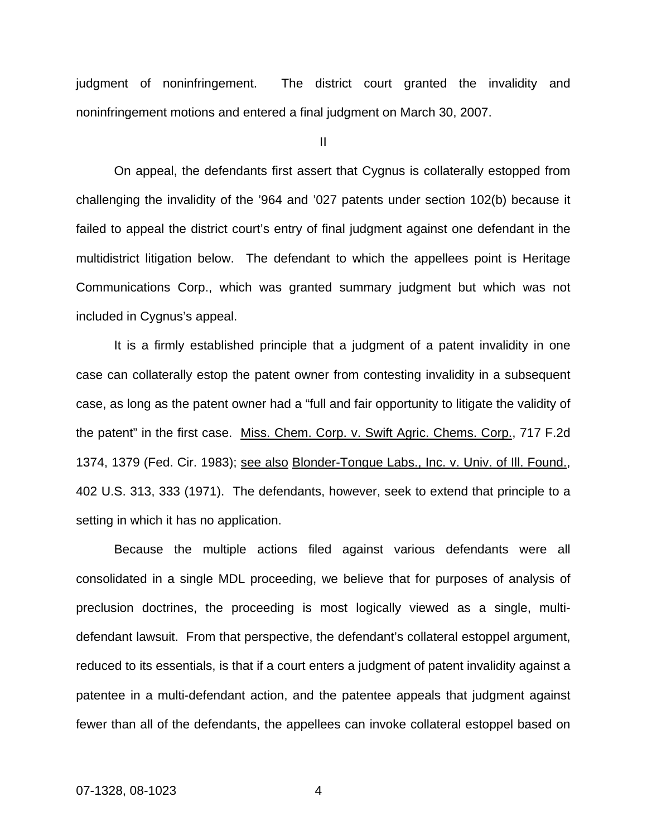judgment of noninfringement. The district court granted the invalidity and noninfringement motions and entered a final judgment on March 30, 2007.

II

On appeal, the defendants first assert that Cygnus is collaterally estopped from challenging the invalidity of the '964 and '027 patents under section 102(b) because it failed to appeal the district court's entry of final judgment against one defendant in the multidistrict litigation below. The defendant to which the appellees point is Heritage Communications Corp., which was granted summary judgment but which was not included in Cygnus's appeal.

It is a firmly established principle that a judgment of a patent invalidity in one case can collaterally estop the patent owner from contesting invalidity in a subsequent case, as long as the patent owner had a "full and fair opportunity to litigate the validity of the patent" in the first case. Miss. Chem. Corp. v. Swift Agric. Chems. Corp., 717 F.2d 1374, 1379 (Fed. Cir. 1983); see also Blonder-Tongue Labs., Inc. v. Univ. of Ill. Found., 402 U.S. 313, 333 (1971). The defendants, however, seek to extend that principle to a setting in which it has no application.

Because the multiple actions filed against various defendants were all consolidated in a single MDL proceeding, we believe that for purposes of analysis of preclusion doctrines, the proceeding is most logically viewed as a single, multidefendant lawsuit. From that perspective, the defendant's collateral estoppel argument, reduced to its essentials, is that if a court enters a judgment of patent invalidity against a patentee in a multi-defendant action, and the patentee appeals that judgment against fewer than all of the defendants, the appellees can invoke collateral estoppel based on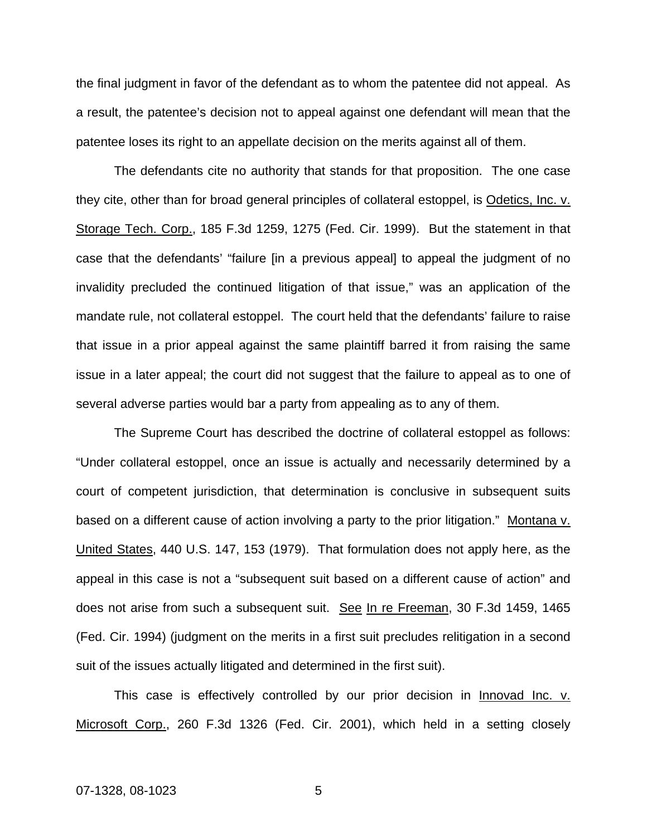the final judgment in favor of the defendant as to whom the patentee did not appeal. As a result, the patentee's decision not to appeal against one defendant will mean that the patentee loses its right to an appellate decision on the merits against all of them.

The defendants cite no authority that stands for that proposition. The one case they cite, other than for broad general principles of collateral estoppel, is Odetics, Inc. v. Storage Tech. Corp., 185 F.3d 1259, 1275 (Fed. Cir. 1999). But the statement in that case that the defendants' "failure [in a previous appeal] to appeal the judgment of no invalidity precluded the continued litigation of that issue," was an application of the mandate rule, not collateral estoppel. The court held that the defendants' failure to raise that issue in a prior appeal against the same plaintiff barred it from raising the same issue in a later appeal; the court did not suggest that the failure to appeal as to one of several adverse parties would bar a party from appealing as to any of them.

The Supreme Court has described the doctrine of collateral estoppel as follows: "Under collateral estoppel, once an issue is actually and necessarily determined by a court of competent jurisdiction, that determination is conclusive in subsequent suits based on a different cause of action involving a party to the prior litigation." Montana v. United States, 440 U.S. 147, 153 (1979). That formulation does not apply here, as the appeal in this case is not a "subsequent suit based on a different cause of action" and does not arise from such a subsequent suit. See In re Freeman, 30 F.3d 1459, 1465 (Fed. Cir. 1994) (judgment on the merits in a first suit precludes relitigation in a second suit of the issues actually litigated and determined in the first suit).

This case is effectively controlled by our prior decision in Innovad Inc. v. Microsoft Corp., 260 F.3d 1326 (Fed. Cir. 2001), which held in a setting closely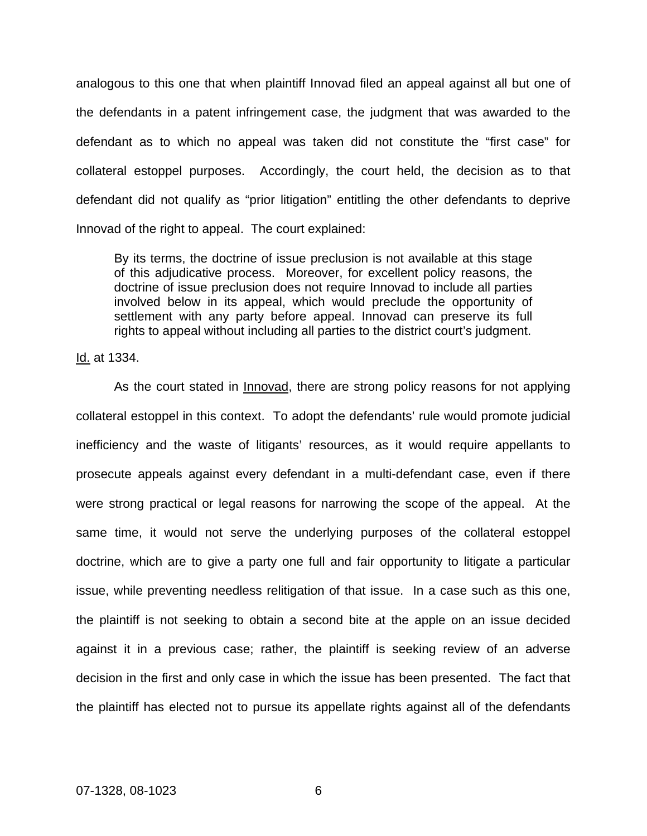analogous to this one that when plaintiff Innovad filed an appeal against all but one of the defendants in a patent infringement case, the judgment that was awarded to the defendant as to which no appeal was taken did not constitute the "first case" for collateral estoppel purposes. Accordingly, the court held, the decision as to that defendant did not qualify as "prior litigation" entitling the other defendants to deprive Innovad of the right to appeal. The court explained:

By its terms, the doctrine of issue preclusion is not available at this stage of this adjudicative process. Moreover, for excellent policy reasons, the doctrine of issue preclusion does not require Innovad to include all parties involved below in its appeal, which would preclude the opportunity of settlement with any party before appeal. Innovad can preserve its full rights to appeal without including all parties to the district court's judgment.

Id. at 1334.

As the court stated in *Innovad*, there are strong policy reasons for not applying collateral estoppel in this context. To adopt the defendants' rule would promote judicial inefficiency and the waste of litigants' resources, as it would require appellants to prosecute appeals against every defendant in a multi-defendant case, even if there were strong practical or legal reasons for narrowing the scope of the appeal. At the same time, it would not serve the underlying purposes of the collateral estoppel doctrine, which are to give a party one full and fair opportunity to litigate a particular issue, while preventing needless relitigation of that issue. In a case such as this one, the plaintiff is not seeking to obtain a second bite at the apple on an issue decided against it in a previous case; rather, the plaintiff is seeking review of an adverse decision in the first and only case in which the issue has been presented. The fact that the plaintiff has elected not to pursue its appellate rights against all of the defendants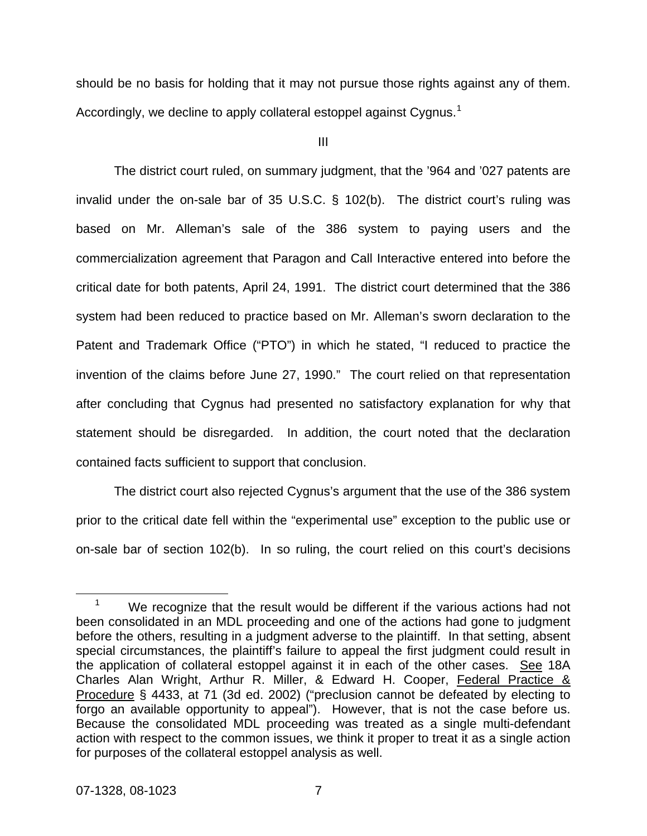should be no basis for holding that it may not pursue those rights against any of them. Accordingly, we decline to apply collateral estoppel against Cygnus.<sup>[1](#page-11-0)</sup>

III

 The district court ruled, on summary judgment, that the '964 and '027 patents are invalid under the on-sale bar of 35 U.S.C. § 102(b). The district court's ruling was based on Mr. Alleman's sale of the 386 system to paying users and the commercialization agreement that Paragon and Call Interactive entered into before the critical date for both patents, April 24, 1991. The district court determined that the 386 system had been reduced to practice based on Mr. Alleman's sworn declaration to the Patent and Trademark Office ("PTO") in which he stated, "I reduced to practice the invention of the claims before June 27, 1990." The court relied on that representation after concluding that Cygnus had presented no satisfactory explanation for why that statement should be disregarded. In addition, the court noted that the declaration contained facts sufficient to support that conclusion.

The district court also rejected Cygnus's argument that the use of the 386 system prior to the critical date fell within the "experimental use" exception to the public use or on-sale bar of section 102(b). In so ruling, the court relied on this court's decisions

<span id="page-11-0"></span> $\overline{\phantom{0}}$  1 We recognize that the result would be different if the various actions had not been consolidated in an MDL proceeding and one of the actions had gone to judgment before the others, resulting in a judgment adverse to the plaintiff. In that setting, absent special circumstances, the plaintiff's failure to appeal the first judgment could result in the application of collateral estoppel against it in each of the other cases. See 18A Charles Alan Wright, Arthur R. Miller, & Edward H. Cooper, Federal Practice & Procedure § 4433, at 71 (3d ed. 2002) ("preclusion cannot be defeated by electing to forgo an available opportunity to appeal"). However, that is not the case before us. Because the consolidated MDL proceeding was treated as a single multi-defendant action with respect to the common issues, we think it proper to treat it as a single action for purposes of the collateral estoppel analysis as well.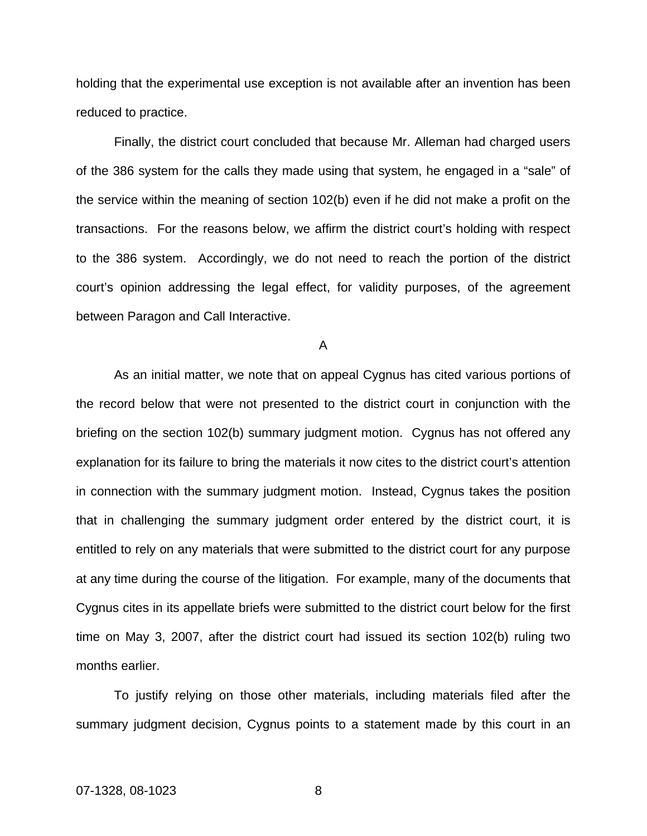holding that the experimental use exception is not available after an invention has been reduced to practice.

Finally, the district court concluded that because Mr. Alleman had charged users of the 386 system for the calls they made using that system, he engaged in a "sale" of the service within the meaning of section 102(b) even if he did not make a profit on the transactions. For the reasons below, we affirm the district court's holding with respect to the 386 system. Accordingly, we do not need to reach the portion of the district court's opinion addressing the legal effect, for validity purposes, of the agreement between Paragon and Call Interactive.

A

As an initial matter, we note that on appeal Cygnus has cited various portions of the record below that were not presented to the district court in conjunction with the briefing on the section 102(b) summary judgment motion. Cygnus has not offered any explanation for its failure to bring the materials it now cites to the district court's attention in connection with the summary judgment motion. Instead, Cygnus takes the position that in challenging the summary judgment order entered by the district court, it is entitled to rely on any materials that were submitted to the district court for any purpose at any time during the course of the litigation. For example, many of the documents that Cygnus cites in its appellate briefs were submitted to the district court below for the first time on May 3, 2007, after the district court had issued its section 102(b) ruling two months earlier.

To justify relying on those other materials, including materials filed after the summary judgment decision, Cygnus points to a statement made by this court in an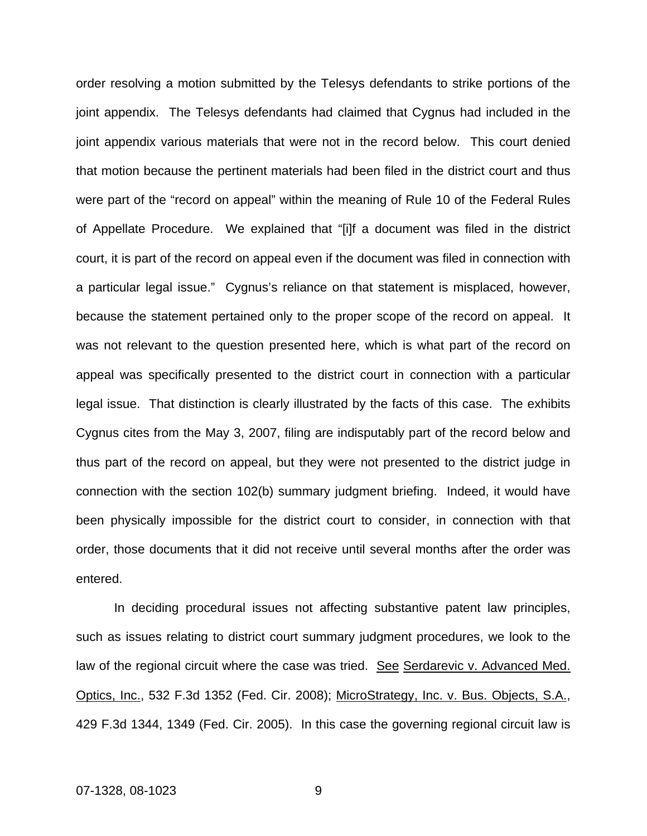order resolving a motion submitted by the Telesys defendants to strike portions of the joint appendix. The Telesys defendants had claimed that Cygnus had included in the joint appendix various materials that were not in the record below. This court denied that motion because the pertinent materials had been filed in the district court and thus were part of the "record on appeal" within the meaning of Rule 10 of the Federal Rules of Appellate Procedure. We explained that "[i]f a document was filed in the district court, it is part of the record on appeal even if the document was filed in connection with a particular legal issue." Cygnus's reliance on that statement is misplaced, however, because the statement pertained only to the proper scope of the record on appeal. It was not relevant to the question presented here, which is what part of the record on appeal was specifically presented to the district court in connection with a particular legal issue. That distinction is clearly illustrated by the facts of this case. The exhibits Cygnus cites from the May 3, 2007, filing are indisputably part of the record below and thus part of the record on appeal, but they were not presented to the district judge in connection with the section 102(b) summary judgment briefing. Indeed, it would have been physically impossible for the district court to consider, in connection with that order, those documents that it did not receive until several months after the order was entered.

In deciding procedural issues not affecting substantive patent law principles, such as issues relating to district court summary judgment procedures, we look to the law of the regional circuit where the case was tried. See Serdarevic v. Advanced Med. Optics, Inc., 532 F.3d 1352 (Fed. Cir. 2008); MicroStrategy, Inc. v. Bus. Objects, S.A., 429 F.3d 1344, 1349 (Fed. Cir. 2005). In this case the governing regional circuit law is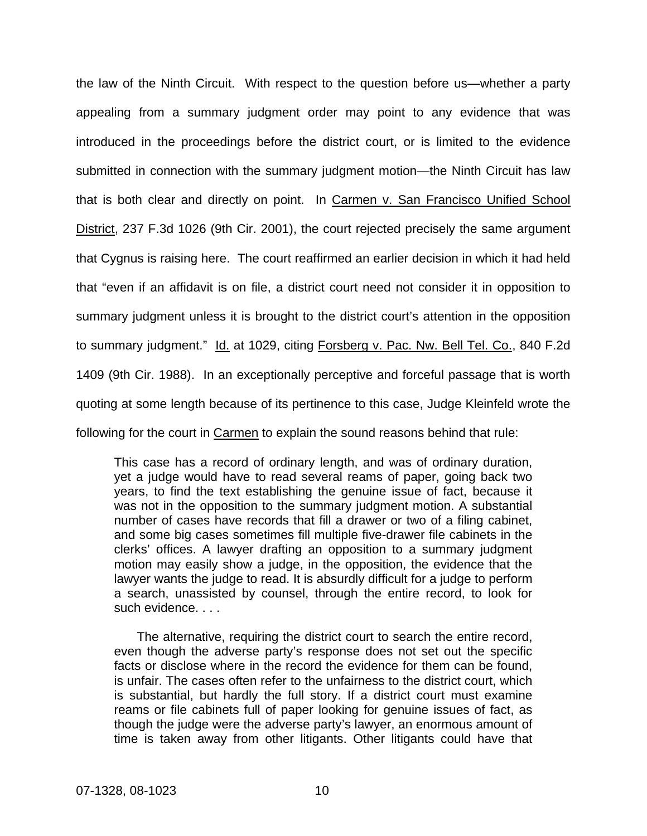the law of the Ninth Circuit. With respect to the question before us—whether a party appealing from a summary judgment order may point to any evidence that was introduced in the proceedings before the district court, or is limited to the evidence submitted in connection with the summary judgment motion—the Ninth Circuit has law that is both clear and directly on point. In Carmen v. San Francisco Unified School District, 237 F.3d 1026 (9th Cir. 2001), the court rejected precisely the same argument that Cygnus is raising here. The court reaffirmed an earlier decision in which it had held that "even if an affidavit is on file, a district court need not consider it in opposition to summary judgment unless it is brought to the district court's attention in the opposition to summary judgment." Id. at 1029, citing Forsberg v. Pac. Nw. Bell Tel. Co., 840 F.2d 1409 (9th Cir. 1988). In an exceptionally perceptive and forceful passage that is worth quoting at some length because of its pertinence to this case, Judge Kleinfeld wrote the following for the court in Carmen to explain the sound reasons behind that rule:

This case has a record of ordinary length, and was of ordinary duration, yet a judge would have to read several reams of paper, going back two years, to find the text establishing the genuine issue of fact, because it was not in the opposition to the summary judgment motion. A substantial number of cases have records that fill a drawer or two of a filing cabinet, and some big cases sometimes fill multiple five-drawer file cabinets in the clerks' offices. A lawyer drafting an opposition to a summary judgment motion may easily show a judge, in the opposition, the evidence that the lawyer wants the judge to read. It is absurdly difficult for a judge to perform a search, unassisted by counsel, through the entire record, to look for such evidence.

 The alternative, requiring the district court to search the entire record, even though the adverse party's response does not set out the specific facts or disclose where in the record the evidence for them can be found, is unfair. The cases often refer to the unfairness to the district court, which is substantial, but hardly the full story. If a district court must examine reams or file cabinets full of paper looking for genuine issues of fact, as though the judge were the adverse party's lawyer, an enormous amount of time is taken away from other litigants. Other litigants could have that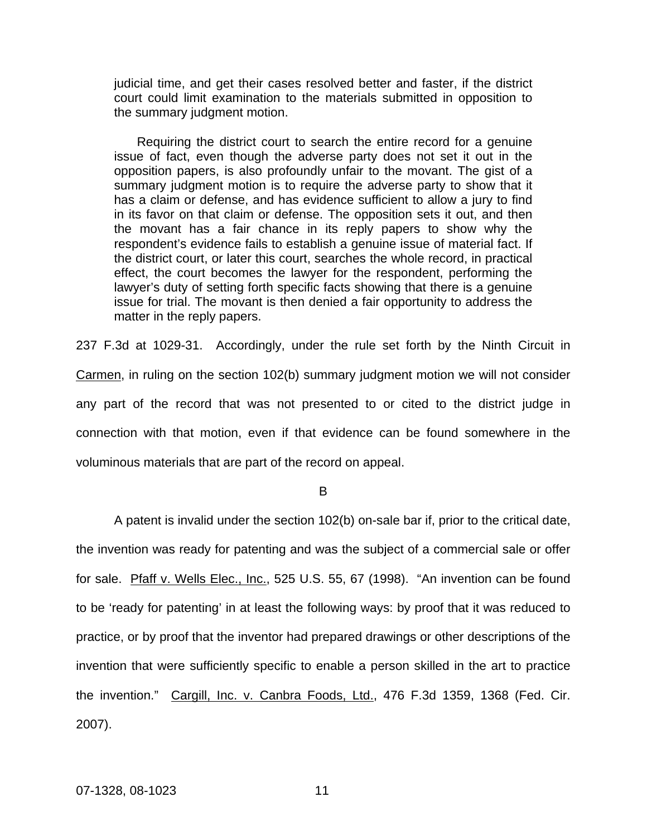judicial time, and get their cases resolved better and faster, if the district court could limit examination to the materials submitted in opposition to the summary judgment motion.

 Requiring the district court to search the entire record for a genuine issue of fact, even though the adverse party does not set it out in the opposition papers, is also profoundly unfair to the movant. The gist of a summary judgment motion is to require the adverse party to show that it has a claim or defense, and has evidence sufficient to allow a jury to find in its favor on that claim or defense. The opposition sets it out, and then the movant has a fair chance in its reply papers to show why the respondent's evidence fails to establish a genuine issue of material fact. If the district court, or later this court, searches the whole record, in practical effect, the court becomes the lawyer for the respondent, performing the lawyer's duty of setting forth specific facts showing that there is a genuine issue for trial. The movant is then denied a fair opportunity to address the matter in the reply papers.

237 F.3d at 1029-31. Accordingly, under the rule set forth by the Ninth Circuit in Carmen, in ruling on the section 102(b) summary judgment motion we will not consider any part of the record that was not presented to or cited to the district judge in connection with that motion, even if that evidence can be found somewhere in the voluminous materials that are part of the record on appeal.

B

A patent is invalid under the section 102(b) on-sale bar if, prior to the critical date, the invention was ready for patenting and was the subject of a commercial sale or offer for sale. Pfaff v. Wells Elec., Inc., 525 U.S. 55, 67 (1998). "An invention can be found to be 'ready for patenting' in at least the following ways: by proof that it was reduced to practice, or by proof that the inventor had prepared drawings or other descriptions of the invention that were sufficiently specific to enable a person skilled in the art to practice the invention." Cargill, Inc. v. Canbra Foods, Ltd., 476 F.3d 1359, 1368 (Fed. Cir. 2007).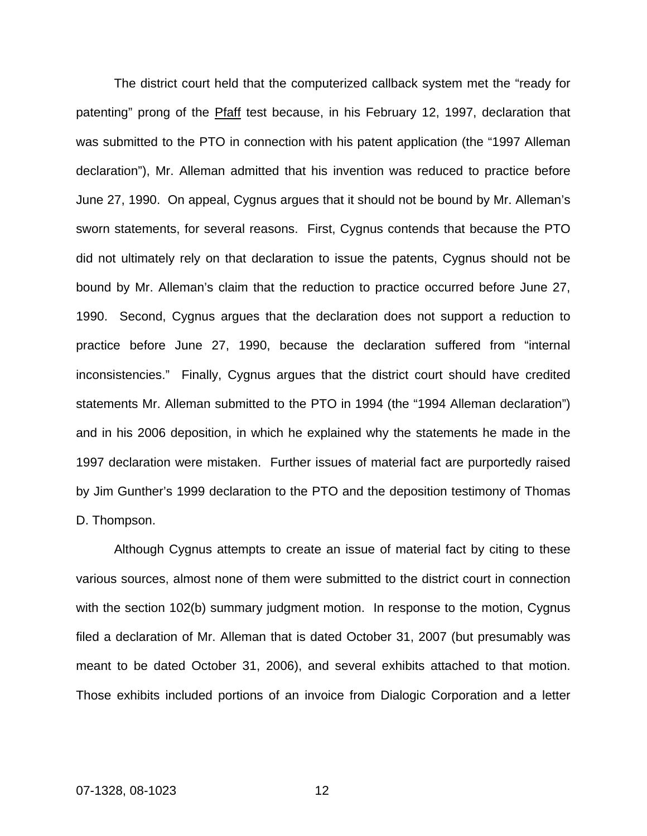The district court held that the computerized callback system met the "ready for patenting" prong of the Pfaff test because, in his February 12, 1997, declaration that was submitted to the PTO in connection with his patent application (the "1997 Alleman declaration"), Mr. Alleman admitted that his invention was reduced to practice before June 27, 1990. On appeal, Cygnus argues that it should not be bound by Mr. Alleman's sworn statements, for several reasons. First, Cygnus contends that because the PTO did not ultimately rely on that declaration to issue the patents, Cygnus should not be bound by Mr. Alleman's claim that the reduction to practice occurred before June 27, 1990. Second, Cygnus argues that the declaration does not support a reduction to practice before June 27, 1990, because the declaration suffered from "internal inconsistencies." Finally, Cygnus argues that the district court should have credited statements Mr. Alleman submitted to the PTO in 1994 (the "1994 Alleman declaration") and in his 2006 deposition, in which he explained why the statements he made in the 1997 declaration were mistaken. Further issues of material fact are purportedly raised by Jim Gunther's 1999 declaration to the PTO and the deposition testimony of Thomas D. Thompson.

Although Cygnus attempts to create an issue of material fact by citing to these various sources, almost none of them were submitted to the district court in connection with the section 102(b) summary judgment motion. In response to the motion, Cygnus filed a declaration of Mr. Alleman that is dated October 31, 2007 (but presumably was meant to be dated October 31, 2006), and several exhibits attached to that motion. Those exhibits included portions of an invoice from Dialogic Corporation and a letter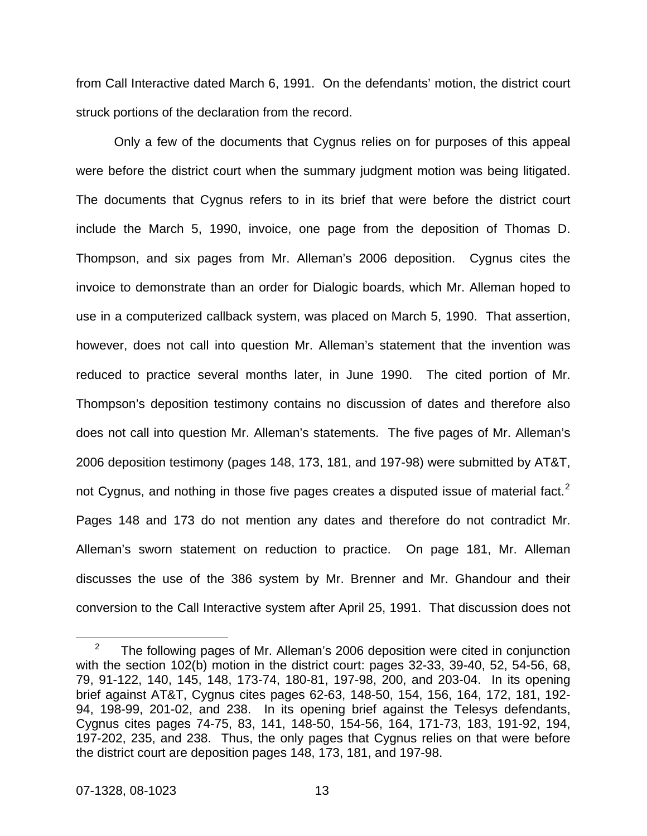from Call Interactive dated March 6, 1991. On the defendants' motion, the district court struck portions of the declaration from the record.

Only a few of the documents that Cygnus relies on for purposes of this appeal were before the district court when the summary judgment motion was being litigated. The documents that Cygnus refers to in its brief that were before the district court include the March 5, 1990, invoice, one page from the deposition of Thomas D. Thompson, and six pages from Mr. Alleman's 2006 deposition. Cygnus cites the invoice to demonstrate than an order for Dialogic boards, which Mr. Alleman hoped to use in a computerized callback system, was placed on March 5, 1990. That assertion, however, does not call into question Mr. Alleman's statement that the invention was reduced to practice several months later, in June 1990. The cited portion of Mr. Thompson's deposition testimony contains no discussion of dates and therefore also does not call into question Mr. Alleman's statements. The five pages of Mr. Alleman's 2006 deposition testimony (pages 148, 173, 181, and 197-98) were submitted by AT&T, not Cygnus, and nothing in those five pages creates a disputed issue of material fact.<sup>[2](#page-17-0)</sup> Pages 148 and 173 do not mention any dates and therefore do not contradict Mr. Alleman's sworn statement on reduction to practice. On page 181, Mr. Alleman discusses the use of the 386 system by Mr. Brenner and Mr. Ghandour and their conversion to the Call Interactive system after April 25, 1991. That discussion does not

<span id="page-17-0"></span> $\frac{1}{2}$  The following pages of Mr. Alleman's 2006 deposition were cited in conjunction with the section 102(b) motion in the district court: pages 32-33, 39-40, 52, 54-56, 68, 79, 91-122, 140, 145, 148, 173-74, 180-81, 197-98, 200, and 203-04. In its opening brief against AT&T, Cygnus cites pages 62-63, 148-50, 154, 156, 164, 172, 181, 192- 94, 198-99, 201-02, and 238. In its opening brief against the Telesys defendants, Cygnus cites pages 74-75, 83, 141, 148-50, 154-56, 164, 171-73, 183, 191-92, 194, 197-202, 235, and 238. Thus, the only pages that Cygnus relies on that were before the district court are deposition pages 148, 173, 181, and 197-98.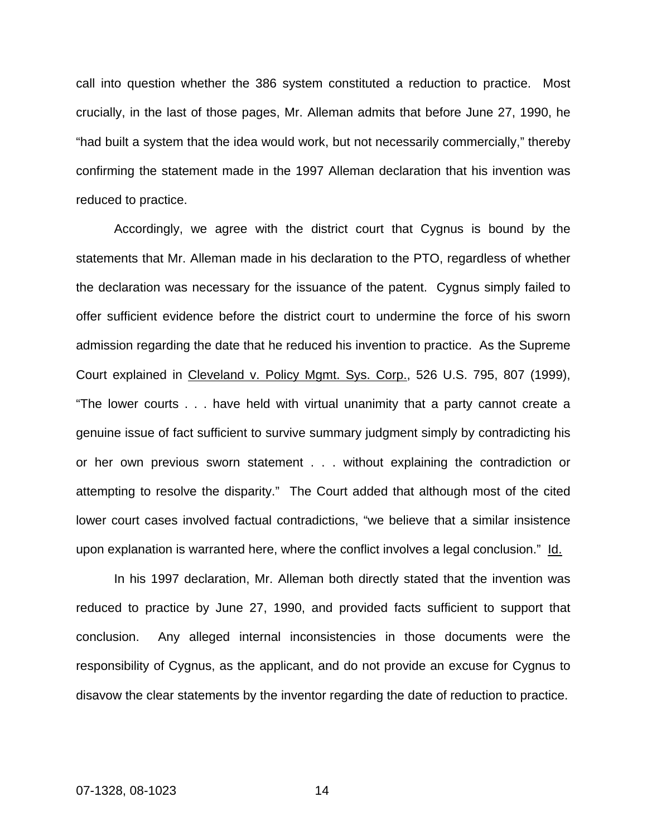call into question whether the 386 system constituted a reduction to practice. Most crucially, in the last of those pages, Mr. Alleman admits that before June 27, 1990, he "had built a system that the idea would work, but not necessarily commercially," thereby confirming the statement made in the 1997 Alleman declaration that his invention was reduced to practice.

Accordingly, we agree with the district court that Cygnus is bound by the statements that Mr. Alleman made in his declaration to the PTO, regardless of whether the declaration was necessary for the issuance of the patent. Cygnus simply failed to offer sufficient evidence before the district court to undermine the force of his sworn admission regarding the date that he reduced his invention to practice. As the Supreme Court explained in Cleveland v. Policy Mgmt. Sys. Corp., 526 U.S. 795, 807 (1999), "The lower courts . . . have held with virtual unanimity that a party cannot create a genuine issue of fact sufficient to survive summary judgment simply by contradicting his or her own previous sworn statement . . . without explaining the contradiction or attempting to resolve the disparity." The Court added that although most of the cited lower court cases involved factual contradictions, "we believe that a similar insistence upon explanation is warranted here, where the conflict involves a legal conclusion." Id.

In his 1997 declaration, Mr. Alleman both directly stated that the invention was reduced to practice by June 27, 1990, and provided facts sufficient to support that conclusion. Any alleged internal inconsistencies in those documents were the responsibility of Cygnus, as the applicant, and do not provide an excuse for Cygnus to disavow the clear statements by the inventor regarding the date of reduction to practice.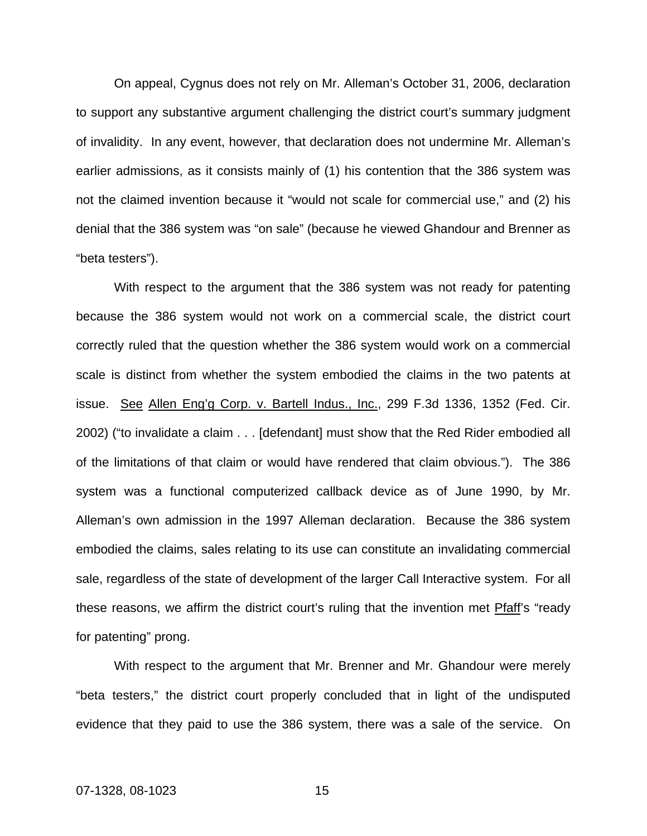On appeal, Cygnus does not rely on Mr. Alleman's October 31, 2006, declaration to support any substantive argument challenging the district court's summary judgment of invalidity. In any event, however, that declaration does not undermine Mr. Alleman's earlier admissions, as it consists mainly of (1) his contention that the 386 system was not the claimed invention because it "would not scale for commercial use," and (2) his denial that the 386 system was "on sale" (because he viewed Ghandour and Brenner as "beta testers").

With respect to the argument that the 386 system was not ready for patenting because the 386 system would not work on a commercial scale, the district court correctly ruled that the question whether the 386 system would work on a commercial scale is distinct from whether the system embodied the claims in the two patents at issue. See Allen Eng'g Corp. v. Bartell Indus., Inc., 299 F.3d 1336, 1352 (Fed. Cir. 2002) ("to invalidate a claim . . . [defendant] must show that the Red Rider embodied all of the limitations of that claim or would have rendered that claim obvious."). The 386 system was a functional computerized callback device as of June 1990, by Mr. Alleman's own admission in the 1997 Alleman declaration. Because the 386 system embodied the claims, sales relating to its use can constitute an invalidating commercial sale, regardless of the state of development of the larger Call Interactive system. For all these reasons, we affirm the district court's ruling that the invention met Pfaff's "ready for patenting" prong.

With respect to the argument that Mr. Brenner and Mr. Ghandour were merely "beta testers," the district court properly concluded that in light of the undisputed evidence that they paid to use the 386 system, there was a sale of the service. On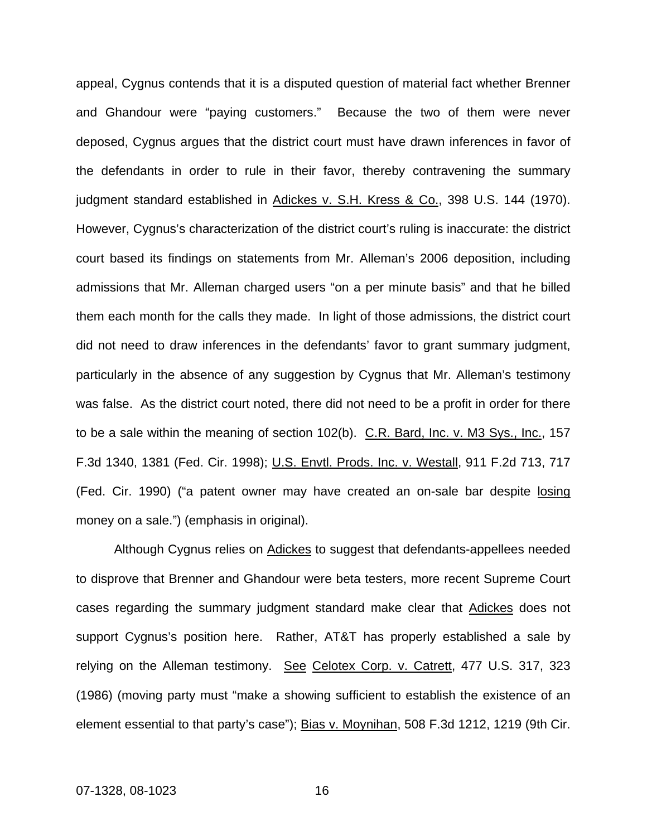appeal, Cygnus contends that it is a disputed question of material fact whether Brenner and Ghandour were "paying customers." Because the two of them were never deposed, Cygnus argues that the district court must have drawn inferences in favor of the defendants in order to rule in their favor, thereby contravening the summary judgment standard established in Adickes v. S.H. Kress & Co., 398 U.S. 144 (1970). However, Cygnus's characterization of the district court's ruling is inaccurate: the district court based its findings on statements from Mr. Alleman's 2006 deposition, including admissions that Mr. Alleman charged users "on a per minute basis" and that he billed them each month for the calls they made. In light of those admissions, the district court did not need to draw inferences in the defendants' favor to grant summary judgment, particularly in the absence of any suggestion by Cygnus that Mr. Alleman's testimony was false. As the district court noted, there did not need to be a profit in order for there to be a sale within the meaning of section 102(b). C.R. Bard, Inc. v. M3 Sys., Inc., 157 F.3d 1340, 1381 (Fed. Cir. 1998); U.S. Envtl. Prods. Inc. v. Westall, 911 F.2d 713, 717 (Fed. Cir. 1990) ("a patent owner may have created an on-sale bar despite losing money on a sale.") (emphasis in original).

Although Cygnus relies on **Adickes** to suggest that defendants-appellees needed to disprove that Brenner and Ghandour were beta testers, more recent Supreme Court cases regarding the summary judgment standard make clear that Adickes does not support Cygnus's position here. Rather, AT&T has properly established a sale by relying on the Alleman testimony. See Celotex Corp. v. Catrett, 477 U.S. 317, 323 (1986) (moving party must "make a showing sufficient to establish the existence of an element essential to that party's case"); Bias v. Moynihan, 508 F.3d 1212, 1219 (9th Cir.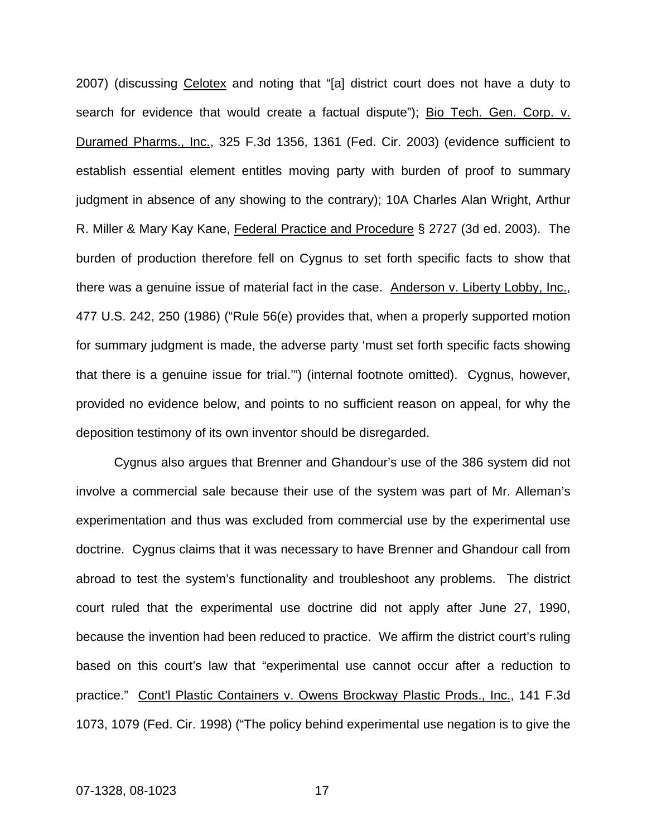2007) (discussing Celotex and noting that "[a] district court does not have a duty to search for evidence that would create a factual dispute"); Bio Tech. Gen. Corp. v. Duramed Pharms., Inc., 325 F.3d 1356, 1361 (Fed. Cir. 2003) (evidence sufficient to establish essential element entitles moving party with burden of proof to summary judgment in absence of any showing to the contrary); 10A Charles Alan Wright, Arthur R. Miller & Mary Kay Kane, Federal Practice and Procedure § 2727 (3d ed. 2003). The burden of production therefore fell on Cygnus to set forth specific facts to show that there was a genuine issue of material fact in the case. Anderson v. Liberty Lobby, Inc., 477 U.S. 242, 250 (1986) ("Rule 56(e) provides that, when a properly supported motion for summary judgment is made, the adverse party 'must set forth specific facts showing that there is a genuine issue for trial.'") (internal footnote omitted). Cygnus, however, provided no evidence below, and points to no sufficient reason on appeal, for why the deposition testimony of its own inventor should be disregarded.

 Cygnus also argues that Brenner and Ghandour's use of the 386 system did not involve a commercial sale because their use of the system was part of Mr. Alleman's experimentation and thus was excluded from commercial use by the experimental use doctrine. Cygnus claims that it was necessary to have Brenner and Ghandour call from abroad to test the system's functionality and troubleshoot any problems. The district court ruled that the experimental use doctrine did not apply after June 27, 1990, because the invention had been reduced to practice. We affirm the district court's ruling based on this court's law that "experimental use cannot occur after a reduction to practice." Cont'l Plastic Containers v. Owens Brockway Plastic Prods., Inc., 141 F.3d 1073, 1079 (Fed. Cir. 1998) ("The policy behind experimental use negation is to give the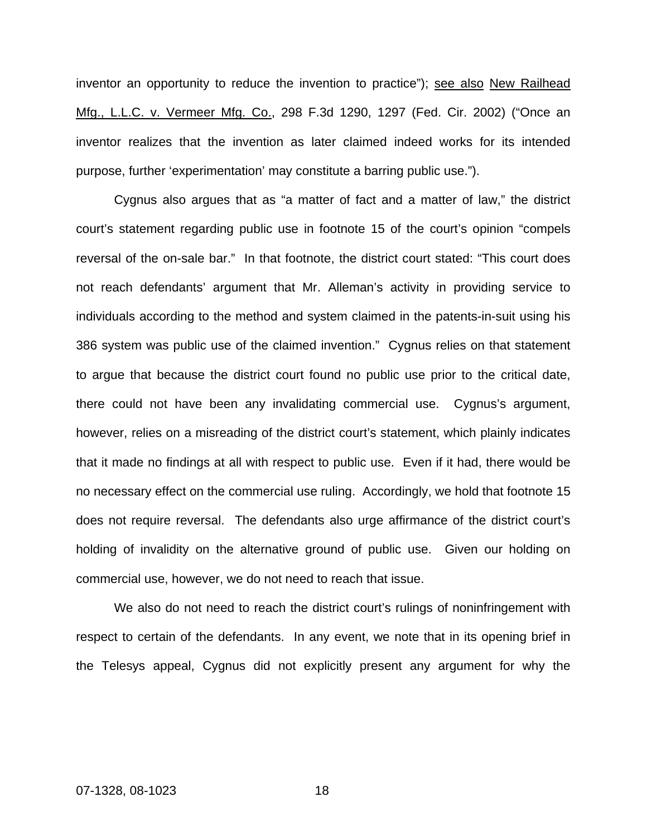inventor an opportunity to reduce the invention to practice"); see also New Railhead Mfg., L.L.C. v. Vermeer Mfg. Co., 298 F.3d 1290, 1297 (Fed. Cir. 2002) ("Once an inventor realizes that the invention as later claimed indeed works for its intended purpose, further 'experimentation' may constitute a barring public use.").

Cygnus also argues that as "a matter of fact and a matter of law," the district court's statement regarding public use in footnote 15 of the court's opinion "compels reversal of the on-sale bar." In that footnote, the district court stated: "This court does not reach defendants' argument that Mr. Alleman's activity in providing service to individuals according to the method and system claimed in the patents-in-suit using his 386 system was public use of the claimed invention." Cygnus relies on that statement to argue that because the district court found no public use prior to the critical date, there could not have been any invalidating commercial use. Cygnus's argument, however, relies on a misreading of the district court's statement, which plainly indicates that it made no findings at all with respect to public use. Even if it had, there would be no necessary effect on the commercial use ruling. Accordingly, we hold that footnote 15 does not require reversal. The defendants also urge affirmance of the district court's holding of invalidity on the alternative ground of public use. Given our holding on commercial use, however, we do not need to reach that issue.

We also do not need to reach the district court's rulings of noninfringement with respect to certain of the defendants. In any event, we note that in its opening brief in the Telesys appeal, Cygnus did not explicitly present any argument for why the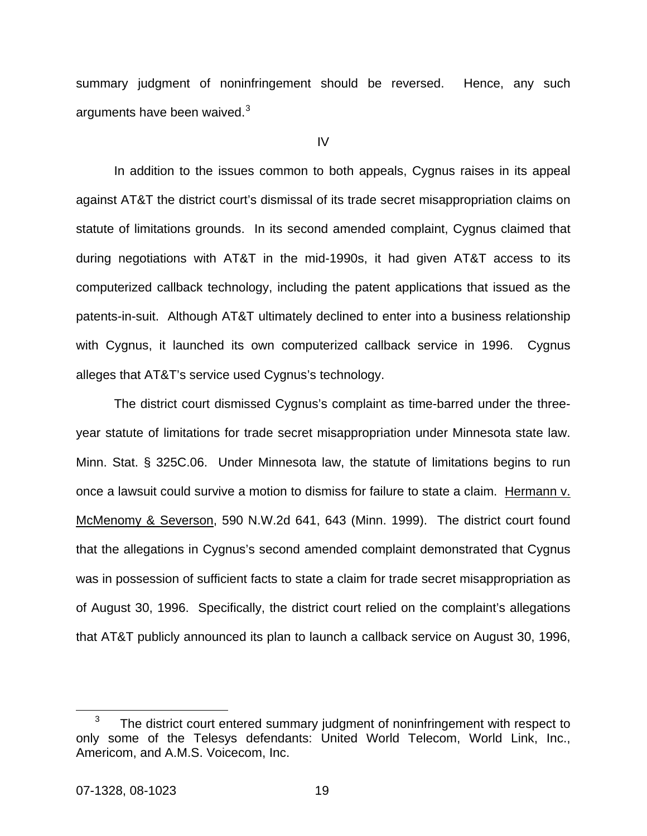summary judgment of noninfringement should be reversed. Hence, any such arguments have been waived. $3$ 

IV

In addition to the issues common to both appeals, Cygnus raises in its appeal against AT&T the district court's dismissal of its trade secret misappropriation claims on statute of limitations grounds. In its second amended complaint, Cygnus claimed that during negotiations with AT&T in the mid-1990s, it had given AT&T access to its computerized callback technology, including the patent applications that issued as the patents-in-suit. Although AT&T ultimately declined to enter into a business relationship with Cygnus, it launched its own computerized callback service in 1996. Cygnus alleges that AT&T's service used Cygnus's technology.

The district court dismissed Cygnus's complaint as time-barred under the threeyear statute of limitations for trade secret misappropriation under Minnesota state law. Minn. Stat. § 325C.06. Under Minnesota law, the statute of limitations begins to run once a lawsuit could survive a motion to dismiss for failure to state a claim. Hermann v. McMenomy & Severson, 590 N.W.2d 641, 643 (Minn. 1999). The district court found that the allegations in Cygnus's second amended complaint demonstrated that Cygnus was in possession of sufficient facts to state a claim for trade secret misappropriation as of August 30, 1996. Specifically, the district court relied on the complaint's allegations that AT&T publicly announced its plan to launch a callback service on August 30, 1996,

<span id="page-23-0"></span> $\frac{1}{3}$  $3$  The district court entered summary judgment of noninfringement with respect to only some of the Telesys defendants: United World Telecom, World Link, Inc., Americom, and A.M.S. Voicecom, Inc.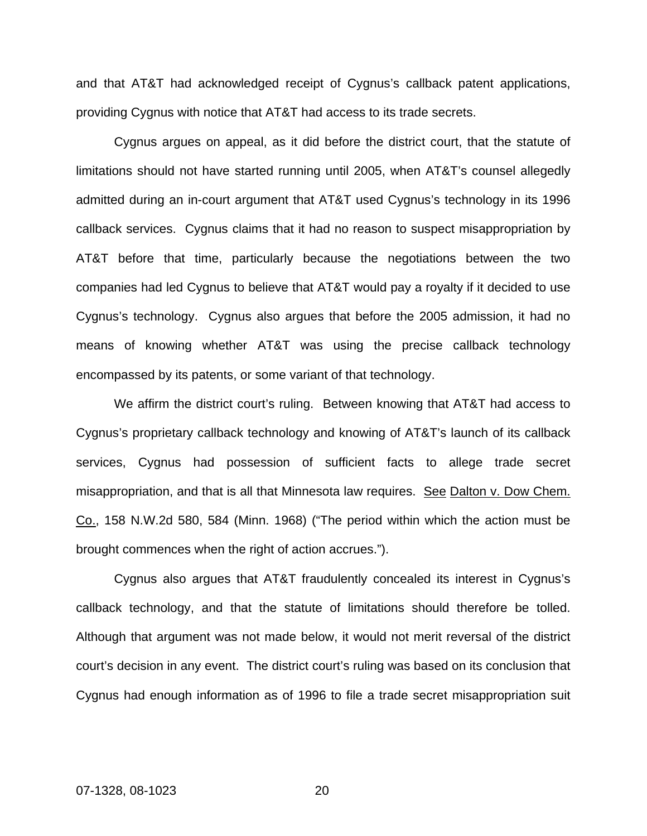and that AT&T had acknowledged receipt of Cygnus's callback patent applications, providing Cygnus with notice that AT&T had access to its trade secrets.

 Cygnus argues on appeal, as it did before the district court, that the statute of limitations should not have started running until 2005, when AT&T's counsel allegedly admitted during an in-court argument that AT&T used Cygnus's technology in its 1996 callback services. Cygnus claims that it had no reason to suspect misappropriation by AT&T before that time, particularly because the negotiations between the two companies had led Cygnus to believe that AT&T would pay a royalty if it decided to use Cygnus's technology. Cygnus also argues that before the 2005 admission, it had no means of knowing whether AT&T was using the precise callback technology encompassed by its patents, or some variant of that technology.

We affirm the district court's ruling. Between knowing that AT&T had access to Cygnus's proprietary callback technology and knowing of AT&T's launch of its callback services, Cygnus had possession of sufficient facts to allege trade secret misappropriation, and that is all that Minnesota law requires. See Dalton v. Dow Chem. Co., 158 N.W.2d 580, 584 (Minn. 1968) ("The period within which the action must be brought commences when the right of action accrues.").

 Cygnus also argues that AT&T fraudulently concealed its interest in Cygnus's callback technology, and that the statute of limitations should therefore be tolled. Although that argument was not made below, it would not merit reversal of the district court's decision in any event. The district court's ruling was based on its conclusion that Cygnus had enough information as of 1996 to file a trade secret misappropriation suit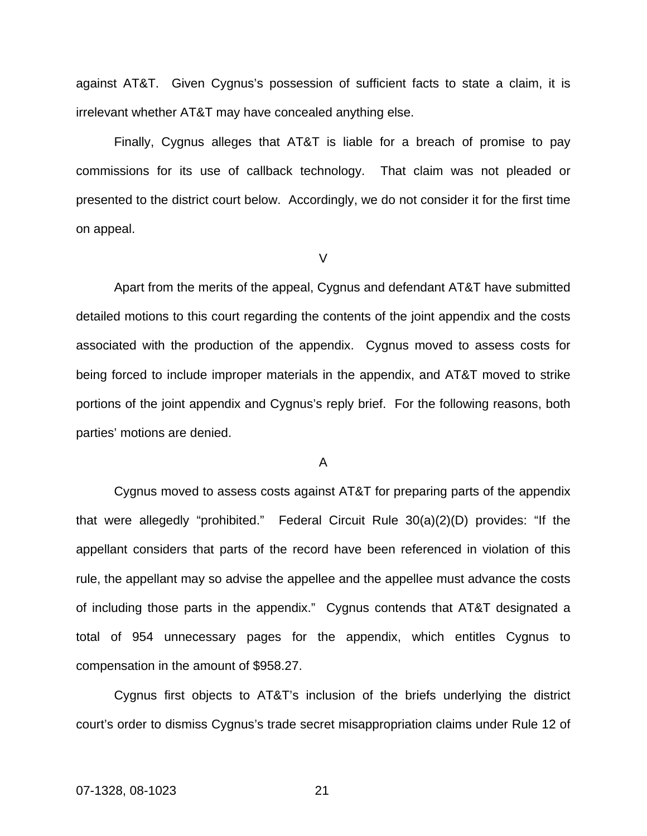against AT&T. Given Cygnus's possession of sufficient facts to state a claim, it is irrelevant whether AT&T may have concealed anything else.

Finally, Cygnus alleges that AT&T is liable for a breach of promise to pay commissions for its use of callback technology. That claim was not pleaded or presented to the district court below. Accordingly, we do not consider it for the first time on appeal.

V

 Apart from the merits of the appeal, Cygnus and defendant AT&T have submitted detailed motions to this court regarding the contents of the joint appendix and the costs associated with the production of the appendix. Cygnus moved to assess costs for being forced to include improper materials in the appendix, and AT&T moved to strike portions of the joint appendix and Cygnus's reply brief. For the following reasons, both parties' motions are denied.

A

Cygnus moved to assess costs against AT&T for preparing parts of the appendix that were allegedly "prohibited." Federal Circuit Rule 30(a)(2)(D) provides: "If the appellant considers that parts of the record have been referenced in violation of this rule, the appellant may so advise the appellee and the appellee must advance the costs of including those parts in the appendix." Cygnus contends that AT&T designated a total of 954 unnecessary pages for the appendix, which entitles Cygnus to compensation in the amount of \$958.27.

Cygnus first objects to AT&T's inclusion of the briefs underlying the district court's order to dismiss Cygnus's trade secret misappropriation claims under Rule 12 of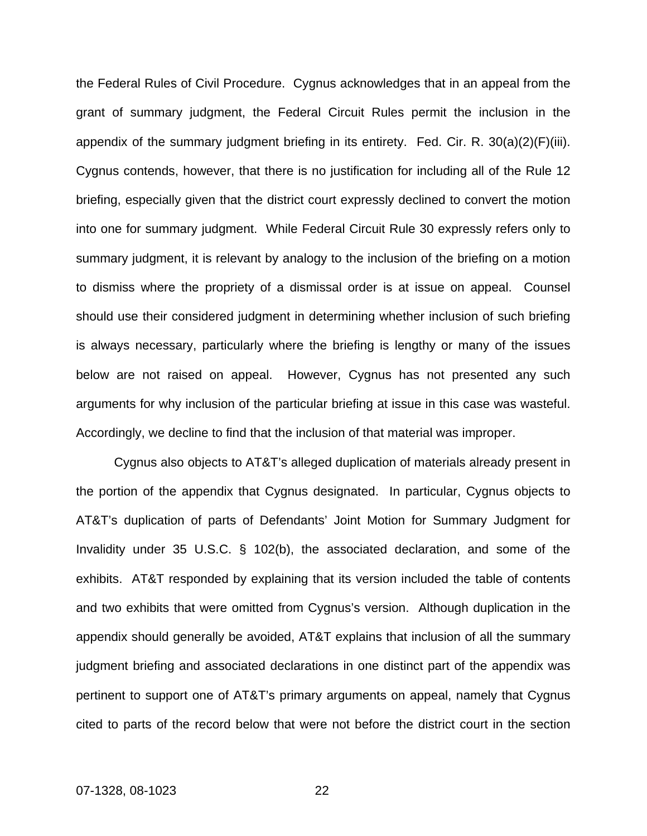the Federal Rules of Civil Procedure. Cygnus acknowledges that in an appeal from the grant of summary judgment, the Federal Circuit Rules permit the inclusion in the appendix of the summary judgment briefing in its entirety. Fed. Cir. R. 30(a)(2)(F)(iii). Cygnus contends, however, that there is no justification for including all of the Rule 12 briefing, especially given that the district court expressly declined to convert the motion into one for summary judgment. While Federal Circuit Rule 30 expressly refers only to summary judgment, it is relevant by analogy to the inclusion of the briefing on a motion to dismiss where the propriety of a dismissal order is at issue on appeal. Counsel should use their considered judgment in determining whether inclusion of such briefing is always necessary, particularly where the briefing is lengthy or many of the issues below are not raised on appeal. However, Cygnus has not presented any such arguments for why inclusion of the particular briefing at issue in this case was wasteful. Accordingly, we decline to find that the inclusion of that material was improper.

 Cygnus also objects to AT&T's alleged duplication of materials already present in the portion of the appendix that Cygnus designated. In particular, Cygnus objects to AT&T's duplication of parts of Defendants' Joint Motion for Summary Judgment for Invalidity under 35 U.S.C. § 102(b), the associated declaration, and some of the exhibits. AT&T responded by explaining that its version included the table of contents and two exhibits that were omitted from Cygnus's version. Although duplication in the appendix should generally be avoided, AT&T explains that inclusion of all the summary judgment briefing and associated declarations in one distinct part of the appendix was pertinent to support one of AT&T's primary arguments on appeal, namely that Cygnus cited to parts of the record below that were not before the district court in the section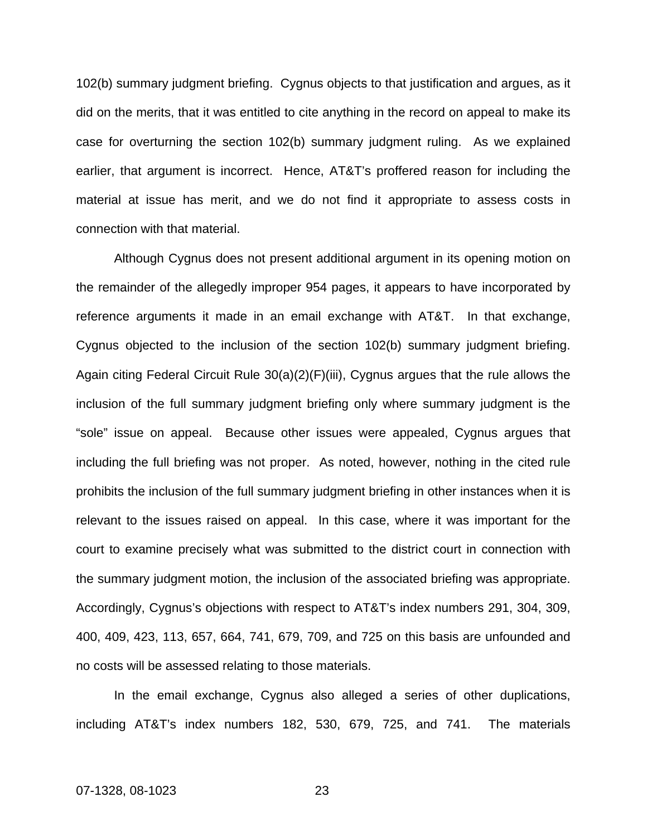102(b) summary judgment briefing. Cygnus objects to that justification and argues, as it did on the merits, that it was entitled to cite anything in the record on appeal to make its case for overturning the section 102(b) summary judgment ruling. As we explained earlier, that argument is incorrect. Hence, AT&T's proffered reason for including the material at issue has merit, and we do not find it appropriate to assess costs in connection with that material.

 Although Cygnus does not present additional argument in its opening motion on the remainder of the allegedly improper 954 pages, it appears to have incorporated by reference arguments it made in an email exchange with AT&T. In that exchange, Cygnus objected to the inclusion of the section 102(b) summary judgment briefing. Again citing Federal Circuit Rule 30(a)(2)(F)(iii), Cygnus argues that the rule allows the inclusion of the full summary judgment briefing only where summary judgment is the "sole" issue on appeal. Because other issues were appealed, Cygnus argues that including the full briefing was not proper. As noted, however, nothing in the cited rule prohibits the inclusion of the full summary judgment briefing in other instances when it is relevant to the issues raised on appeal. In this case, where it was important for the court to examine precisely what was submitted to the district court in connection with the summary judgment motion, the inclusion of the associated briefing was appropriate. Accordingly, Cygnus's objections with respect to AT&T's index numbers 291, 304, 309, 400, 409, 423, 113, 657, 664, 741, 679, 709, and 725 on this basis are unfounded and no costs will be assessed relating to those materials.

In the email exchange, Cygnus also alleged a series of other duplications, including AT&T's index numbers 182, 530, 679, 725, and 741. The materials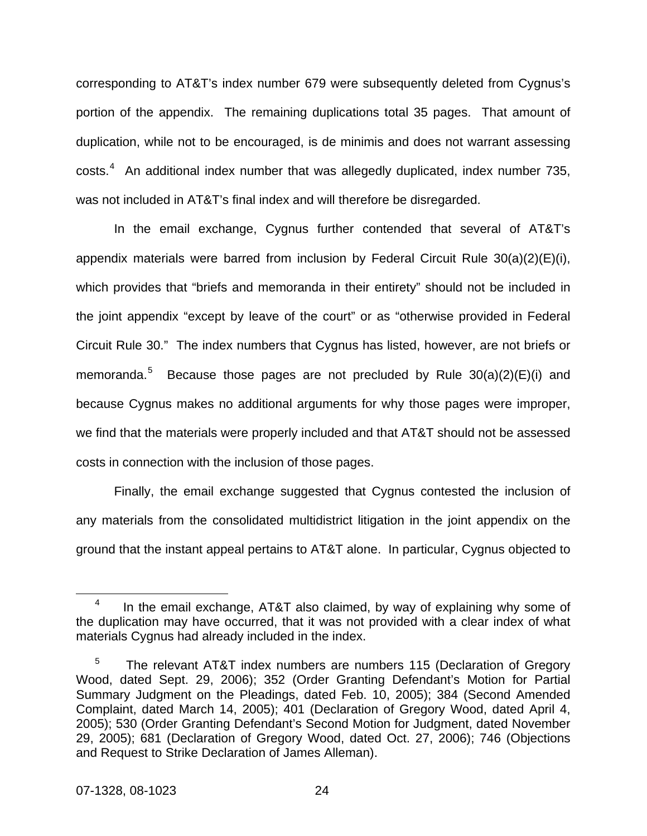corresponding to AT&T's index number 679 were subsequently deleted from Cygnus's portion of the appendix. The remaining duplications total 35 pages. That amount of duplication, while not to be encouraged, is de minimis and does not warrant assessing  $costs<sup>4</sup>$  $costs<sup>4</sup>$  $costs<sup>4</sup>$  An additional index number that was allegedly duplicated, index number 735, was not included in AT&T's final index and will therefore be disregarded.

 In the email exchange, Cygnus further contended that several of AT&T's appendix materials were barred from inclusion by Federal Circuit Rule 30(a)(2)(E)(i), which provides that "briefs and memoranda in their entirety" should not be included in the joint appendix "except by leave of the court" or as "otherwise provided in Federal Circuit Rule 30." The index numbers that Cygnus has listed, however, are not briefs or memoranda.<sup>[5](#page-28-1)</sup> Because those pages are not precluded by Rule  $30(a)(2)(E)(i)$  and because Cygnus makes no additional arguments for why those pages were improper, we find that the materials were properly included and that AT&T should not be assessed costs in connection with the inclusion of those pages.

Finally, the email exchange suggested that Cygnus contested the inclusion of any materials from the consolidated multidistrict litigation in the joint appendix on the ground that the instant appeal pertains to AT&T alone. In particular, Cygnus objected to

<span id="page-28-0"></span> $\frac{1}{4}$  In the email exchange, AT&T also claimed, by way of explaining why some of the duplication may have occurred, that it was not provided with a clear index of what materials Cygnus had already included in the index.

<span id="page-28-1"></span> 5 The relevant AT&T index numbers are numbers 115 (Declaration of Gregory Wood, dated Sept. 29, 2006); 352 (Order Granting Defendant's Motion for Partial Summary Judgment on the Pleadings, dated Feb. 10, 2005); 384 (Second Amended Complaint, dated March 14, 2005); 401 (Declaration of Gregory Wood, dated April 4, 2005); 530 (Order Granting Defendant's Second Motion for Judgment, dated November 29, 2005); 681 (Declaration of Gregory Wood, dated Oct. 27, 2006); 746 (Objections and Request to Strike Declaration of James Alleman).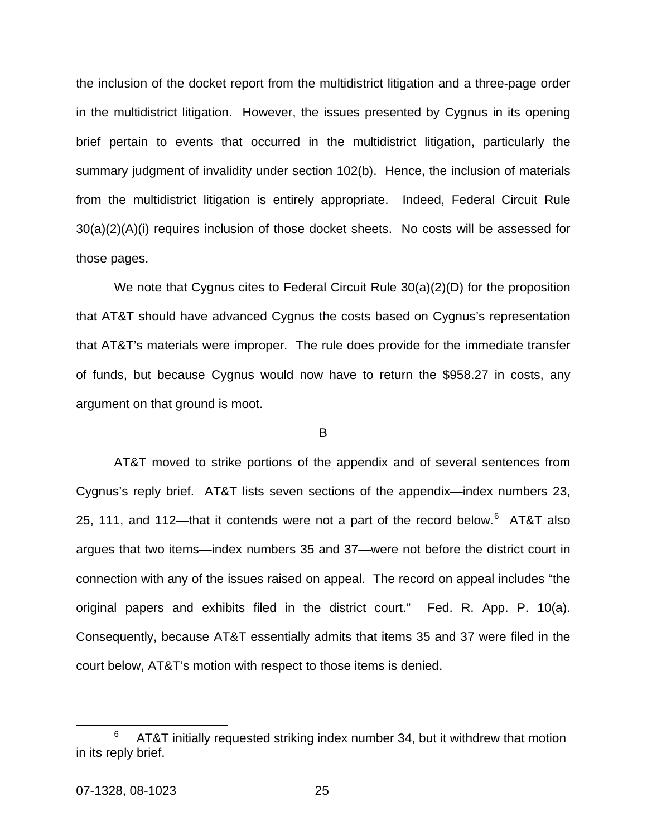the inclusion of the docket report from the multidistrict litigation and a three-page order in the multidistrict litigation. However, the issues presented by Cygnus in its opening brief pertain to events that occurred in the multidistrict litigation, particularly the summary judgment of invalidity under section 102(b). Hence, the inclusion of materials from the multidistrict litigation is entirely appropriate. Indeed, Federal Circuit Rule 30(a)(2)(A)(i) requires inclusion of those docket sheets. No costs will be assessed for those pages.

We note that Cygnus cites to Federal Circuit Rule 30(a)(2)(D) for the proposition that AT&T should have advanced Cygnus the costs based on Cygnus's representation that AT&T's materials were improper. The rule does provide for the immediate transfer of funds, but because Cygnus would now have to return the \$958.27 in costs, any argument on that ground is moot.

#### B

 AT&T moved to strike portions of the appendix and of several sentences from Cygnus's reply brief. AT&T lists seven sections of the appendix—index numbers 23, 25, 111, and 112—that it contends were not a part of the record below. $6$  AT&T also argues that two items—index numbers 35 and 37—were not before the district court in connection with any of the issues raised on appeal. The record on appeal includes "the original papers and exhibits filed in the district court." Fed. R. App. P. 10(a). Consequently, because AT&T essentially admits that items 35 and 37 were filed in the court below, AT&T's motion with respect to those items is denied.

<span id="page-29-0"></span> <sup>6</sup>  $6$  AT&T initially requested striking index number 34, but it withdrew that motion in its reply brief.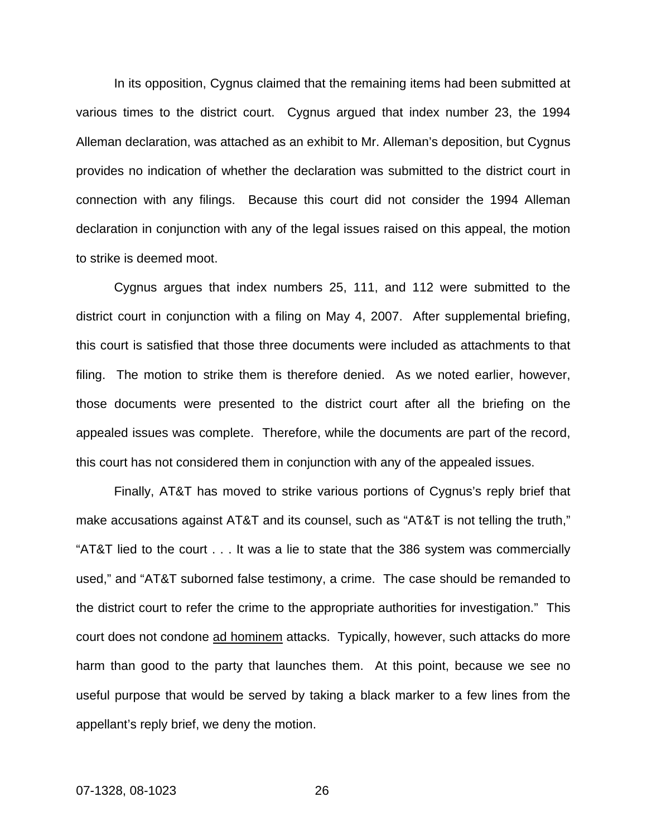In its opposition, Cygnus claimed that the remaining items had been submitted at various times to the district court. Cygnus argued that index number 23, the 1994 Alleman declaration, was attached as an exhibit to Mr. Alleman's deposition, but Cygnus provides no indication of whether the declaration was submitted to the district court in connection with any filings. Because this court did not consider the 1994 Alleman declaration in conjunction with any of the legal issues raised on this appeal, the motion to strike is deemed moot.

 Cygnus argues that index numbers 25, 111, and 112 were submitted to the district court in conjunction with a filing on May 4, 2007. After supplemental briefing, this court is satisfied that those three documents were included as attachments to that filing. The motion to strike them is therefore denied. As we noted earlier, however, those documents were presented to the district court after all the briefing on the appealed issues was complete. Therefore, while the documents are part of the record, this court has not considered them in conjunction with any of the appealed issues.

 Finally, AT&T has moved to strike various portions of Cygnus's reply brief that make accusations against AT&T and its counsel, such as "AT&T is not telling the truth," "AT&T lied to the court . . . It was a lie to state that the 386 system was commercially used," and "AT&T suborned false testimony, a crime. The case should be remanded to the district court to refer the crime to the appropriate authorities for investigation." This court does not condone ad hominem attacks. Typically, however, such attacks do more harm than good to the party that launches them. At this point, because we see no useful purpose that would be served by taking a black marker to a few lines from the appellant's reply brief, we deny the motion.